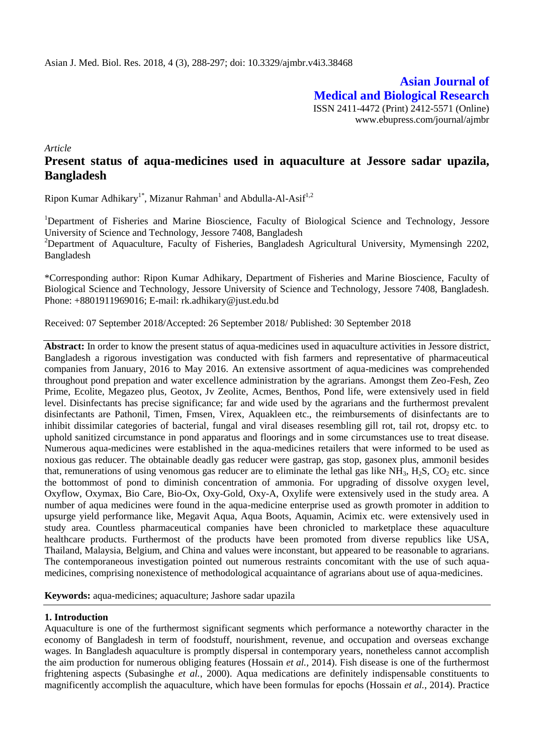**Asian Journal of Medical and Biological Research** ISSN 2411-4472 (Print) 2412-5571 (Online) www.ebupress.com/journal/ajmbr

*Article*

# **Present status of aqua-medicines used in aquaculture at Jessore sadar upazila, Bangladesh**

Ripon Kumar Adhikary<sup>1\*</sup>, Mizanur Rahman<sup>1</sup> and Abdulla-Al-Asif<sup>1,2</sup>

<sup>1</sup>Department of Fisheries and Marine Bioscience, Faculty of Biological Science and Technology, Jessore University of Science and Technology, Jessore 7408, Bangladesh <sup>2</sup>Department of Aquaculture, Faculty of Fisheries, Bangladesh Agricultural University, Mymensingh 2202, Bangladesh

\*Corresponding author: Ripon Kumar Adhikary, Department of Fisheries and Marine Bioscience, Faculty of Biological Science and Technology, Jessore University of Science and Technology, Jessore 7408, Bangladesh. Phone: +8801911969016; E-mail: rk.adhikary@just.edu.bd

Received: 07 September 2018/Accepted: 26 September 2018/ Published: 30 September 2018

**Abstract:** In order to know the present status of aqua-medicines used in aquaculture activities in Jessore district, Bangladesh a rigorous investigation was conducted with fish farmers and representative of pharmaceutical companies from January, 2016 to May 2016. An extensive assortment of aqua-medicines was comprehended throughout pond prepation and water excellence administration by the agrarians. Amongst them Zeo-Fesh, Zeo Prime, Ecolite, Megazeo plus, Geotox, Jv Zeolite, Acmes, Benthos, Pond life, were extensively used in field level. Disinfectants has precise significance; far and wide used by the agrarians and the furthermost prevalent disinfectants are Pathonil, Timen, Fmsen, Virex, Aquakleen etc., the reimbursements of disinfectants are to inhibit dissimilar categories of bacterial, fungal and viral diseases resembling gill rot, tail rot, dropsy etc. to uphold sanitized circumstance in pond apparatus and floorings and in some circumstances use to treat disease. Numerous aqua-medicines were established in the aqua-medicines retailers that were informed to be used as noxious gas reducer. The obtainable deadly gas reducer were gastrap, gas stop, gasonex plus, ammonil besides that, remunerations of using venomous gas reducer are to eliminate the lethal gas like  $NH_3$ ,  $H_2S$ ,  $CO_2$  etc. since the bottommost of pond to diminish concentration of ammonia. For upgrading of dissolve oxygen level, Oxyflow, Oxymax, Bio Care, Bio-Ox, Oxy-Gold, Oxy-A, Oxylife were extensively used in the study area. A number of aqua medicines were found in the aqua-medicine enterprise used as growth promoter in addition to upsurge yield performance like, Megavit Aqua, Aqua Boots, Aquamin, Acimix etc. were extensively used in study area. Countless pharmaceutical companies have been chronicled to marketplace these aquaculture healthcare products. Furthermost of the products have been promoted from diverse republics like USA, Thailand, Malaysia, Belgium, and China and values were inconstant, but appeared to be reasonable to agrarians. The contemporaneous investigation pointed out numerous restraints concomitant with the use of such aquamedicines, comprising nonexistence of methodological acquaintance of agrarians about use of aqua-medicines.

**Keywords:** aqua-medicines; aquaculture; Jashore sadar upazila

# **1. Introduction**

Aquaculture is one of the furthermost significant segments which performance a noteworthy character in the economy of Bangladesh in term of foodstuff, nourishment, revenue, and occupation and overseas exchange wages. In Bangladesh aquaculture is promptly dispersal in contemporary years, nonetheless cannot accomplish the aim production for numerous obliging features (Hossain *et al.,* 2014). Fish disease is one of the furthermost frightening aspects (Subasinghe *et al.*, 2000). Aqua medications are definitely indispensable constituents to magnificently accomplish the aquaculture, which have been formulas for epochs (Hossain *et al.*, 2014). Practice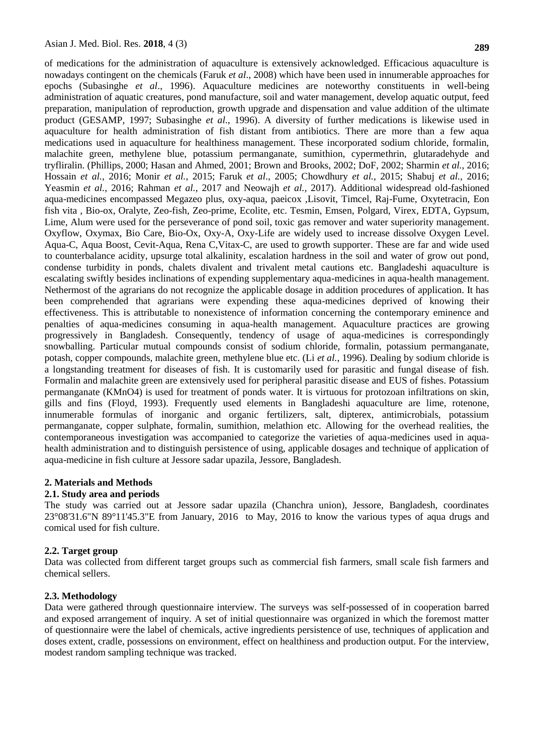of medications for the administration of aquaculture is extensively acknowledged. Efficacious aquaculture is nowadays contingent on the chemicals (Faruk *et al*[., 2008\)](file:///G:/Mizan/Aquaculture%20Drugs%20Used%20for%20Fish%20and%20Shellfish%20Health%20Management%20in%20the%20Southwestern%20Bangladesh.htm%231313302_ja%231313302_ja) which have been used in innumerable approaches for epochs [\(Subasinghe](file:///G:/Mizan/Aquaculture%20Drugs%20Used%20for%20Fish%20and%20Shellfish%20Health%20Management%20in%20the%20Southwestern%20Bangladesh.htm%2333279_bc%2333279_bc) *et al*., 1996). Aquaculture medicines are noteworthy constituents in well-being administration of aquatic creatures, pond manufacture, soil and water management, develop aquatic output, feed preparation, manipulation of reproduction, growth upgrade and dispensation and value addition of the ultimate product [\(GESAMP, 1997;](file:///G:/Mizan/Aquaculture%20Drugs%20Used%20for%20Fish%20and%20Shellfish%20Health%20Management%20in%20the%20Southwestern%20Bangladesh.htm%2372936_an%2372936_an) [Subasinghe](file:///G:/Mizan/Aquaculture%20Drugs%20Used%20for%20Fish%20and%20Shellfish%20Health%20Management%20in%20the%20Southwestern%20Bangladesh.htm%2333279_bc%2333279_bc) *et al*., 1996). A diversity of further medications is likewise used in aquaculture for health administration of fish distant from antibiotics. There are more than a few aqua medications used in aquaculture for healthiness management. These incorporated sodium chloride, formalin, malachite green, methylene blue, potassium permanganate, sumithion, cypermethrin, glutaradehyde and tryfliralin. [\(Phillips, 2000;](file:///G:/Mizan/Aquaculture%20Drugs%20Used%20for%20Fish%20and%20Shellfish%20Health%20Management%20in%20the%20Southwestern%20Bangladesh.htm%2346036_bc%2346036_bc) [Hasan and Ahmed, 2001;](file:///G:/Mizan/Aquaculture%20Drugs%20Used%20for%20Fish%20and%20Shellfish%20Health%20Management%20in%20the%20Southwestern%20Bangladesh.htm%2318419_bc%2318419_bc) [Brown and Brooks, 2002;](file:///G:/Mizan/Aquaculture%20Drugs%20Used%20for%20Fish%20and%20Shellfish%20Health%20Management%20in%20the%20Southwestern%20Bangladesh.htm%2333276_bc%2333276_bc) [DoF, 2002;](file:///G:/Mizan/Aquaculture%20Drugs%20Used%20for%20Fish%20and%20Shellfish%20Health%20Management%20in%20the%20Southwestern%20Bangladesh.htm%2372934_an%2372934_an) Sharmin *et al.*, 2016; Hossain *et al.*, 2016; Monir *et al.*, 2015; Faruk *et al*., 2005; Chowdhury *et al.*, 2015; Shabuj *et al.,* 2016; Yeasmin *et al.*, 2016; Rahman *et al.*, 2017 and Neowajh *et al.,* 2017). Additional widespread old-fashioned aqua-medicines encompassed Megazeo plus, oxy-aqua, paeicox ,Lisovit, Timcel, Raj-Fume, Oxytetracin, Eon fish vita , Bio-ox, Oralyte, Zeo-fish, Zeo-prime, Ecolite, etc. Tesmin, Emsen, Polgard, Virex, EDTA, Gypsum, Lime, Alum were used for the perseverance of pond soil, toxic gas remover and water superiority management. Oxyflow, Oxymax, Bio Care, Bio-Ox, Oxy-A, Oxy-Life are widely used to increase dissolve Oxygen Level. Aqua-C, Aqua Boost, Cevit-Aqua, Rena C,Vitax-C, are used to growth supporter. These are far and wide used to counterbalance acidity, upsurge total alkalinity, escalation hardness in the soil and water of grow out pond, condense turbidity in ponds, chalets divalent and trivalent metal cautions etc. Bangladeshi aquaculture is escalating swiftly besides inclinations of expending supplementary aqua-medicines in aqua-health management. Nethermost of the agrarians do not recognize the applicable dosage in addition procedures of application. It has been comprehended that agrarians were expending these aqua-medicines deprived of knowing their effectiveness. This is attributable to nonexistence of information concerning the contemporary eminence and penalties of aqua-medicines consuming in aqua-health management. Aquaculture practices are growing progressively in Bangladesh. Consequently, tendency of usage of aqua-medicines is correspondingly snowballing. Particular mutual compounds consist of sodium chloride, formalin, potassium permanganate, potash, copper compounds, malachite green, methylene blue etc. (Li *et al.*, 1996). Dealing by sodium chloride is a longstanding treatment for diseases of fish. It is customarily used for parasitic and fungal disease of fish. Formalin and malachite green are extensively used for peripheral parasitic disease and EUS of fishes. Potassium permanganate (KMnO4) is used for treatment of ponds water. It is virtuous for protozoan infiltrations on skin, gills and fins (Floyd, 1993). Frequently used elements in Bangladeshi aquaculture are lime, rotenone, innumerable formulas of inorganic and organic fertilizers, salt, dipterex, antimicrobials, potassium permanganate, copper sulphate, formalin, sumithion, melathion etc. Allowing for the overhead realities, the contemporaneous investigation was accompanied to categorize the varieties of aqua-medicines used in aquahealth administration and to distinguish persistence of using, applicable dosages and technique of application of aqua-medicine in fish culture at Jessore sadar upazila, Jessore, Bangladesh.

#### **2. Materials and Methods**

# **2.1. Study area and periods**

The study was carried out at Jessore sadar upazila (Chanchra union), Jessore, Bangladesh, coordinates 23°08'31.6"N 89°11'45.3"E from January, 2016 to May, 2016 to know the various types of aqua drugs and comical used for fish culture.

# **2.2. Target group**

Data was collected from different target groups such as commercial fish farmers, small scale fish farmers and chemical sellers.

#### **2.3. Methodology**

Data were gathered through questionnaire interview. The surveys was self-possessed of in cooperation barred and exposed arrangement of inquiry. A set of initial questionnaire was organized in which the foremost matter of questionnaire were the label of chemicals, active ingredients persistence of use, techniques of application and doses extent, cradle, possessions on environment, effect on healthiness and production output. For the interview, modest random sampling technique was tracked.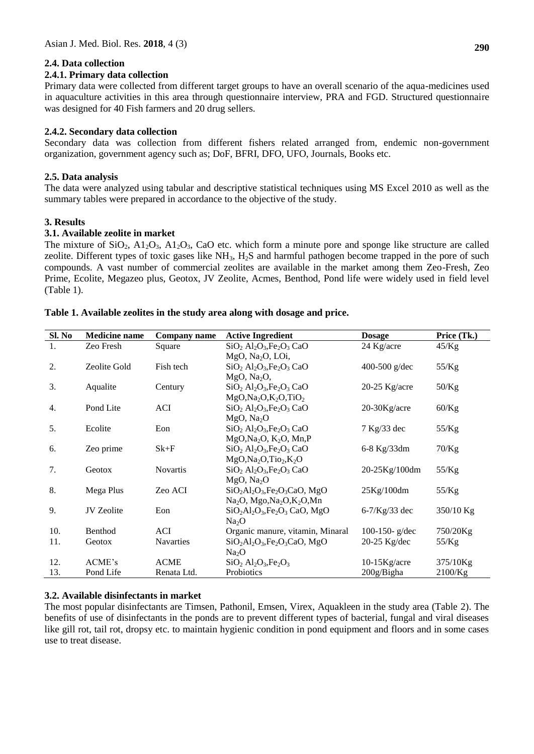# **2.4. Data collection**

## **2.4.1. Primary data collection**

Primary data were collected from different target groups to have an overall scenario of the aqua-medicines used in aquaculture activities in this area through questionnaire interview, PRA and FGD. Structured questionnaire was designed for 40 Fish farmers and 20 drug sellers.

## **2.4.2. Secondary data collection**

Secondary data was collection from different fishers related arranged from, endemic non-government organization, government agency such as; DoF, BFRI, DFO, UFO, Journals, Books etc.

## **2.5. Data analysis**

The data were analyzed using tabular and descriptive statistical techniques using MS Excel 2010 as well as the summary tables were prepared in accordance to the objective of the study.

# **3. Results**

## **3.1. Available zeolite in market**

The mixture of  $SiO_2$ ,  $A1_2O_3$ ,  $A1_2O_3$ , CaO etc. which form a minute pore and sponge like structure are called zeolite. Different types of toxic gases like  $NH_3$ ,  $H_2S$  and harmful pathogen become trapped in the pore of such compounds. A vast number of commercial zeolites are available in the market among them Zeo-Fresh, Zeo Prime, Ecolite, Megazeo plus, Geotox, JV Zeolite, Acmes, Benthod, Pond life were widely used in field level (Table 1).

| Sl. No | <b>Medicine name</b><br>Company name |                  | <b>Active Ingredient</b>                              | <b>Dosage</b>    | Price (Tk.) |
|--------|--------------------------------------|------------------|-------------------------------------------------------|------------------|-------------|
| 1.     | Zeo Fresh                            | Square           | $SiO2 Al2O3, Fe2O3 CaO$                               | 24 Kg/acre       | 45/Kg       |
|        |                                      |                  | MgO, Na <sub>2</sub> O, LOi,                          |                  |             |
| 2.     | Zeolite Gold                         | Fish tech        | $SiO2 Al2O3, Fe2O3 CaO$                               | 400-500 $g/dec$  | 55/Kg       |
|        |                                      |                  | MgO, Na <sub>2</sub> O,                               |                  |             |
| 3.     | Aqualite                             | Century          | $SiO2 Al2O3Fe2O3 CaO$                                 | 20-25 Kg/acre    | 50/Kg       |
|        |                                      |                  | $MgO, Na2O, K2O, TiO2$                                |                  |             |
| 4.     | Pond Lite                            | ACI              | $SiO2 Al2O3, Fe2O3 CaO$                               | 20-30Kg/acre     | 60/Kg       |
|        |                                      |                  | MgO, Na <sub>2</sub> O                                |                  |             |
| 5.     | Ecolite                              | Eon              | $SiO2 Al2O3, Fe2O3 CaO$                               | 7 Kg/33 dec      | 55/Kg       |
|        |                                      |                  | $MgO, Na2O, K2O, Mn, P$                               |                  |             |
| 6.     | Zeo prime                            | $Sk + F$         | $SiO2 Al2O3, Fe2O3 CaO$                               | 6-8 Kg/33dm      | 70/Kg       |
|        |                                      |                  | $MgO, Na2O, TiO2, K2O$                                |                  |             |
| 7.     | Geotox                               | <b>Novartis</b>  | $SiO2 Al2O3, Fe2O3 CaO$                               | 20-25Kg/100dm    | 55/Kg       |
|        |                                      |                  | MgO, Na <sub>2</sub> O                                |                  |             |
| 8.     | Mega Plus                            | Zeo ACI          | $SiO2Al2O3, Fe2O3CaO, MgO$                            | 25Kg/100dm       | 55/Kg       |
|        |                                      |                  | $Na2O$ , Mgo, Na <sub>2</sub> O, K <sub>2</sub> O, Mn |                  |             |
| 9.     | <b>JV</b> Zeolite                    | Eon              | $SiO2Al2O3Fe2O3 CaO, MgO$                             | $6-7/Kg/33$ dec  | 350/10 Kg   |
|        |                                      |                  | Na <sub>2</sub> O                                     |                  |             |
| 10.    | Benthod                              | <b>ACI</b>       | Organic manure, vitamin, Minaral                      | 100-150- $g/dec$ | 750/20Kg    |
| 11.    | Geotox                               | <b>Navarties</b> | $SiO2Al2O3, Fe2O3CaO, MgO$                            | $20-25$ Kg/dec   | 55/Kg       |
|        |                                      |                  | Na <sub>2</sub> O                                     |                  |             |
| 12.    | ACME's                               | <b>ACME</b>      | $SiO2 Al2O3, Fe2O3$                                   | $10-15$ Kg/acre  | 375/10Kg    |
| 13.    | Pond Life                            | Renata Ltd.      | Probiotics                                            | $200g/B$ igha    | 2100/Kg     |

#### **Table 1. Available zeolites in the study area along with dosage and price.**

#### **3.2. Available disinfectants in market**

The most popular disinfectants are Timsen, Pathonil, Emsen, Virex, Aquakleen in the study area (Table 2). The benefits of use of disinfectants in the ponds are to prevent different types of bacterial, fungal and viral diseases like gill rot, tail rot, dropsy etc. to maintain hygienic condition in pond equipment and floors and in some cases use to treat disease.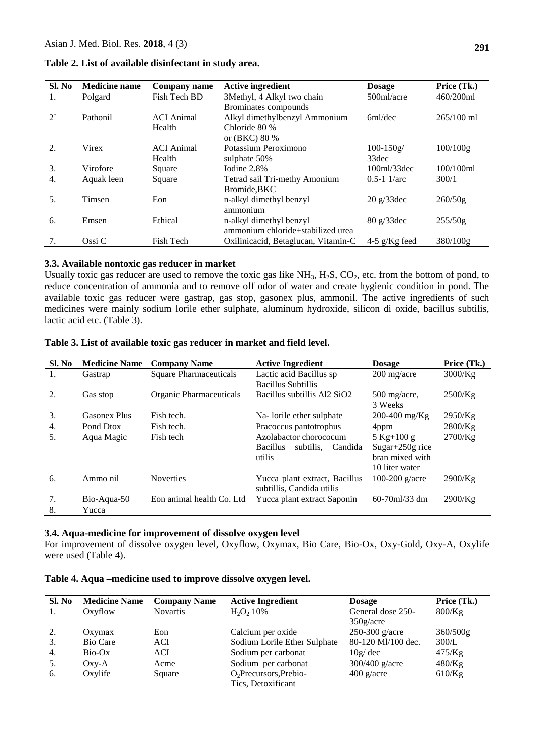| Sl. No      | <b>Medicine name</b> | <b>Company name</b> | <b>Active ingredient</b>            | <b>Dosage</b>   | Price (Tk.)  |
|-------------|----------------------|---------------------|-------------------------------------|-----------------|--------------|
| 1.          | Polgard              | Fish Tech BD        | 3Methyl, 4 Alkyl two chain          | 500ml/acre      | 460/200ml    |
|             |                      |                     | Brominates compounds                |                 |              |
| $2^{\circ}$ | Pathonil             | <b>ACI</b> Animal   | Alkyl dimethylbenzyl Ammonium       | 6ml/dec         | $265/100$ ml |
|             |                      | Health              | Chloride 80 %                       |                 |              |
|             |                      |                     | or (BKC) $80\%$                     |                 |              |
| 2.          | Virex                | <b>ACI</b> Animal   | Potassium Peroximono                | $100 - 150g/$   | $100/100$ g  |
|             |                      | Health              | sulphate 50%                        | 33 dec          |              |
| 3.          | Virofore             | Square              | Iodine 2.8%                         | 100ml/33dec     | 100/100ml    |
| 4.          | Aquak leen           | Square              | Tetrad sail Tri-methy Amonium       | $0.5 - 11/$ arc | 300/1        |
|             |                      |                     | Bromide, BKC                        |                 |              |
| 5.          | Timsen               | Eon                 | n-alkyl dimethyl benzyl             | $20$ g/33dec    | 260/50g      |
|             |                      |                     | ammonium                            |                 |              |
| 6.          | Emsen                | Ethical             | n-alkyl dimethyl benzyl             | $80$ g/33dec    | 255/50g      |
|             |                      |                     | ammonium chloride+stabilized urea   |                 |              |
|             | Ossi C               | Fish Tech           | Oxilinicacid, Betaglucan, Vitamin-C | 4-5 $g/Kg$ feed | 380/100g     |

**Table 2. List of available disinfectant in study area.**

#### **3.3. Available nontoxic gas reducer in market**

Usually toxic gas reducer are used to remove the toxic gas like  $NH<sub>3</sub>$ ,  $H<sub>2</sub>S$ ,  $CO<sub>2</sub>$ , etc. from the bottom of pond, to reduce concentration of ammonia and to remove off odor of water and create hygienic condition in pond. The available toxic gas reducer were gastrap, gas stop, gasonex plus, ammonil. The active ingredients of such medicines were mainly sodium lorile ether sulphate, aluminum hydroxide, silicon di oxide, bacillus subtilis, lactic acid etc. (Table 3).

**Table 3. List of available toxic gas reducer in market and field level.**

| Sl. No | <b>Medicine Name</b> | <b>Company Name</b>           | <b>Active Ingredient</b>                                          | <b>Dosage</b>                       | Price (Tk.) |
|--------|----------------------|-------------------------------|-------------------------------------------------------------------|-------------------------------------|-------------|
| 1.     | Gastrap              | <b>Square Pharmaceuticals</b> | Lactic acid Bacillus sp<br><b>Bacillus Subtillis</b>              | $200 \text{ mg/acre}$               | $3000$ /Kg  |
| 2.     | Gas stop             | Organic Pharmaceuticals       | Bacillus subtillis Al2 SiO2                                       | $500$ mg/acre,<br>3 Weeks           | $2500$ /Kg  |
| 3.     | <b>Gasonex Plus</b>  | Fish tech.                    | Na- lorile ether sulphate                                         | $200-400$ mg/Kg                     | 2950/Kg     |
| 4.     | Pond Dtox            | Fish tech.                    | Pracoccus pantotrophus                                            | 4ppm                                | $2800$ /Kg  |
| 5.     | Aqua Magic           | Fish tech                     | Azolabactor chorococum<br><b>Bacillus</b><br>subtilis.<br>Candida | $5$ Kg+100 g<br>Sugar $+250$ g rice | $2700$ /Kg  |
|        |                      |                               | utilis                                                            | bran mixed with<br>10 liter water   |             |
| 6.     | Ammo nil             | <b>Noverties</b>              | Yucca plant extract, Bacillus<br>subtillis, Candida utilis        | 100-200 $g/acre$                    | $2900$ /Kg  |
| 7.     | Bio-Aqua-50          | Eon animal health Co. Ltd.    | Yucca plant extract Saponin                                       | $60-70$ ml/33 dm                    | 2900/Kg     |
| 8.     | Yucca                |                               |                                                                   |                                     |             |

## **3.4. Aqua-medicine for improvement of dissolve oxygen level**

For improvement of dissolve oxygen level, Oxyflow, Oxymax, Bio Care, Bio-Ox, Oxy-Gold, Oxy-A, Oxylife were used (Table 4).

|  |  | Table 4. Aqua -medicine used to improve dissolve oxygen level. |  |
|--|--|----------------------------------------------------------------|--|
|  |  |                                                                |  |

| Sl. No | <b>Medicine Name</b> | <b>Company Name</b> | <b>Active Ingredient</b>     | <b>Dosage</b>      | Price (Tk.) |
|--------|----------------------|---------------------|------------------------------|--------------------|-------------|
| 1.     | Oxyflow              | <b>Novartis</b>     | $H_2O_2 10\%$                | General dose 250-  | $800$ /Kg   |
|        |                      |                     |                              | $350$ g/acre       |             |
| 2.     | Oxymax               | Eon                 | Calcium per oxide            | $250-300$ g/acre   | $360/500$ g |
| 3.     | Bio Care             | ACI                 | Sodium Lorile Ether Sulphate | 80-120 Ml/100 dec. | 300/L       |
| 4.     | Bio-Ox               | ACI                 | Sodium per carbonat          | $10g$ dec          | 475/Kg      |
| 5.     | $Oxy-A$              | Acme                | Sodium per carbonat          | $300/400$ g/acre   | 480/Kg      |
| 6.     | Oxylife              | Square              | $O2 Precursors, Prebio-$     | $400$ g/acre       | 610/Kg      |
|        |                      |                     | Tics, Detoxificant           |                    |             |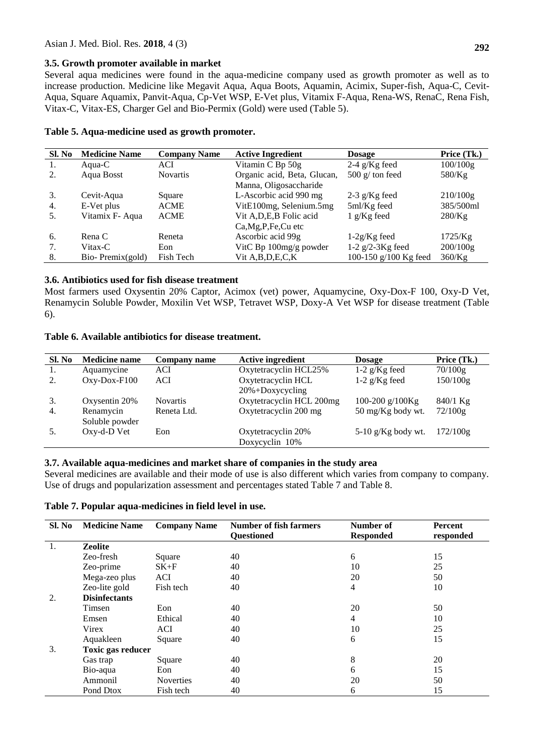## **3.5. Growth promoter available in market**

Several aqua medicines were found in the aqua-medicine company used as growth promoter as well as to increase production. Medicine like Megavit Aqua, Aqua Boots, Aquamin, Acimix, Super-fish, Aqua-C, Cevit-Aqua, Square Aquamix, Panvit-Aqua, Cp-Vet WSP, E-Vet plus, Vitamix F-Aqua, Rena-WS, RenaC, Rena Fish, Vitax-C, Vitax-ES, Charger Gel and Bio-Permix (Gold) were used (Table 5).

| Sl. No | <b>Medicine Name</b> | <b>Company Name</b> | <b>Active Ingredient</b>    | <b>Dosage</b>          | Price (Tk.) |
|--------|----------------------|---------------------|-----------------------------|------------------------|-------------|
| 1.     | Aqua-C               | <b>ACI</b>          | Vitamin C Bp 50g            | 2-4 $g/Kg$ feed        | $100/100$ g |
| 2.     | Aqua Bosst           | <b>Novartis</b>     | Organic acid, Beta, Glucan, | $500$ g/ ton feed      | 580/Kg      |
|        |                      |                     | Manna, Oligosaccharide      |                        |             |
| 3.     | Cevit-Aqua           | Square              | L-Ascorbic acid 990 mg      | $2-3$ g/Kg feed        | 210/100g    |
| 4.     | E-Vet plus           | <b>ACME</b>         | VitE100mg, Selenium.5mg     | 5ml/Kg feed            | 385/500ml   |
| 5.     | Vitamix F- Aqua      | <b>ACME</b>         | Vit A, D, E, B Folic acid   | $1 \frac{g}{Kg}$ feed  | 280/Kg      |
|        |                      |                     | Ca, Mg, P, Fe, Cu etc       |                        |             |
| 6.     | Rena C               | Reneta              | Ascorbic acid 99g           | $1-2g/Kg$ feed         | 1725/Kg     |
| 7.     | Vitax-C              | Eon                 | VitC Bp 100mg/g powder      | 1-2 $g/2$ -3 $Kg$ feed | $200/100$ g |
| 8.     | Bio- Premix(gold)    | Fish Tech           | Vit A, B, D, E, C, K        | 100-150 g/100 Kg feed  | 360/Kg      |

# **3.6. Antibiotics used for fish disease treatment**

Most farmers used Oxysentin 20% Captor, Acimox (vet) power, Aquamycine, Oxy-Dox-F 100, Oxy-D Vet, Renamycin Soluble Powder, Moxilin Vet WSP, Tetravet WSP, Doxy-A Vet WSP for disease treatment (Table 6).

| Table 6. Available antibiotics for disease treatment. |  |
|-------------------------------------------------------|--|
|-------------------------------------------------------|--|

| Sl. No | <b>Medicine name</b> | Company name    | <b>Active ingredient</b> | <b>Dosage</b>        | Price (Tk.) |
|--------|----------------------|-----------------|--------------------------|----------------------|-------------|
| 1.     | Aquamycine           | ACI             | Oxytetracyclin HCL25%    | $1-2$ g/Kg feed      | 70/100g     |
| 2.     | $Oxy$ -Dox-F100      | <b>ACI</b>      | Oxytetracyclin HCL       | 1-2 $g/Kg$ feed      | 150/100g    |
|        |                      |                 | $20\% + \text{Doxyc}$    |                      |             |
| 3.     | Oxysentin 20%        | <b>Novartis</b> | Oxytetracyclin HCL 200mg | 100-200 g/100Kg      | $840/1$ Kg  |
| 4.     | Renamycin            | Reneta Ltd.     | Oxytetracyclin 200 mg    | 50 mg/Kg body wt.    | 72/100g     |
|        | Soluble powder       |                 |                          |                      |             |
| .5.    | Oxy-d-D Vet          | Eon             | Oxytetracyclin 20%       | $5-10$ g/Kg body wt. | 172/100g    |
|        |                      |                 | Doxycyclin 10%           |                      |             |

#### **3.7. Available aqua-medicines and market share of companies in the study area**

Several medicines are available and their mode of use is also different which varies from company to company. Use of drugs and popularization assessment and percentages stated Table 7 and Table 8.

**Table 7. Popular aqua-medicines in field level in use.**

| Sl. No | <b>Medicine Name</b> | <b>Company Name</b> | <b>Number of fish farmers</b><br><b>Questioned</b> | Number of<br><b>Responded</b> | Percent<br>responded |
|--------|----------------------|---------------------|----------------------------------------------------|-------------------------------|----------------------|
| 1.     | <b>Zeolite</b>       |                     |                                                    |                               |                      |
|        | Zeo-fresh            | Square              | 40                                                 | 6                             | 15                   |
|        | Zeo-prime            | $SK+F$              | 40                                                 | 10                            | 25                   |
|        | Mega-zeo plus        | <b>ACI</b>          | 40                                                 | 20                            | 50                   |
|        | Zeo-lite gold        | Fish tech           | 40                                                 | 4                             | 10                   |
| 2.     | <b>Disinfectants</b> |                     |                                                    |                               |                      |
|        | Timsen               | Eon                 | 40                                                 | 20                            | 50                   |
|        | Emsen                | Ethical             | 40                                                 | 4                             | 10                   |
|        | Virex                | <b>ACI</b>          | 40                                                 | 10                            | 25                   |
|        | Aquakleen            | Square              | 40                                                 | 6                             | 15                   |
| 3.     | Toxic gas reducer    |                     |                                                    |                               |                      |
|        | Gas trap             | Square              | 40                                                 | 8                             | 20                   |
|        | Bio-aqua             | Eon                 | 40                                                 | 6                             | 15                   |
|        | Ammonil              | <b>Noverties</b>    | 40                                                 | 20                            | 50                   |
|        | Pond Dtox            | Fish tech           | 40                                                 | 6                             | 15                   |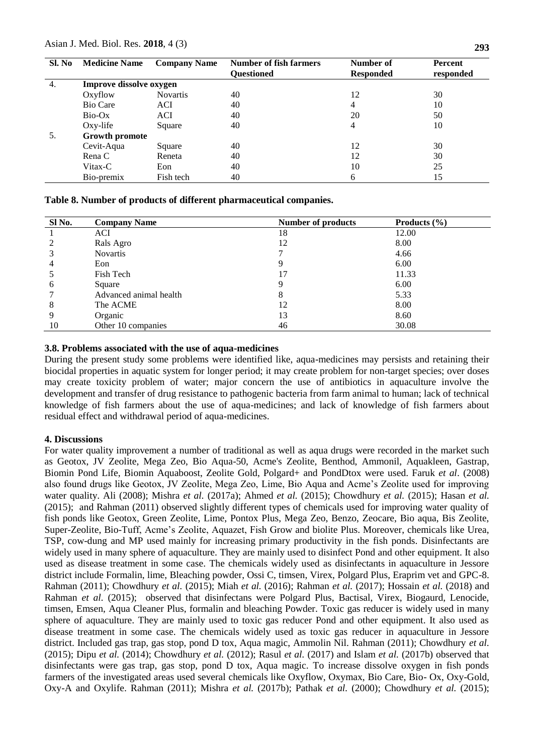| Sl. No | <b>Medicine Name</b>           | <b>Company Name</b> | <b>Number of fish farmers</b> | Number of        | Percent   |
|--------|--------------------------------|---------------------|-------------------------------|------------------|-----------|
|        |                                |                     | <b>Ouestioned</b>             | <b>Responded</b> | responded |
| 4.     | <b>Improve dissolve oxygen</b> |                     |                               |                  |           |
|        | Oxyflow                        | <b>Novartis</b>     | 40                            | 12               | 30        |
|        | Bio Care                       | <b>ACI</b>          | 40                            | 4                | 10        |
|        | $Bio-Ox$                       | <b>ACI</b>          | 40                            | 20               | 50        |
|        | Oxy-life                       | Square              | 40                            | 4                | 10        |
| 5.     | <b>Growth promote</b>          |                     |                               |                  |           |
|        | Cevit-Aqua                     | Square              | 40                            | 12               | 30        |
|        | Rena C                         | Reneta              | 40                            | 12               | 30        |
|        | Vitax-C                        | Eon                 | 40                            | 10               | 25        |
|        | Bio-premix                     | Fish tech           | 40                            | 6                | 15        |

| Table 8. Number of products of different pharmaceutical companies. |  |  |  |  |
|--------------------------------------------------------------------|--|--|--|--|
|--------------------------------------------------------------------|--|--|--|--|

| SI No. | <b>Company Name</b>    | Number of products | Products $(\% )$ |
|--------|------------------------|--------------------|------------------|
|        | ACI                    | 18                 | 12.00            |
|        | Rals Agro              | 12                 | 8.00             |
|        | <b>Novartis</b>        |                    | 4.66             |
| 4      | Eon                    | 9                  | 6.00             |
|        | Fish Tech              | 17                 | 11.33            |
| 6      | Square                 | Q                  | 6.00             |
|        | Advanced animal health | 8                  | 5.33             |
| 8      | The ACME               | 12                 | 8.00             |
| 9      | Organic                | 13                 | 8.60             |
| 10     | Other 10 companies     | 46                 | 30.08            |

#### **3.8. Problems associated with the use of aqua-medicines**

During the present study some problems were identified like, aqua-medicines may persists and retaining their biocidal properties in aquatic system for longer period; it may create problem for non-target species; over doses may create toxicity problem of water; major concern the use of antibiotics in aquaculture involve the development and transfer of drug resistance to pathogenic bacteria from farm animal to human; lack of technical knowledge of fish farmers about the use of aqua-medicines; and lack of knowledge of fish farmers about residual effect and withdrawal period of aqua-medicines.

#### **4. Discussions**

For water quality improvement a number of traditional as well as aqua drugs were recorded in the market such as Geotox, JV Zeolite, Mega Zeo, Bio Aqua-50, Acme's Zeolite, Benthod, Ammonil, Aquakleen, Gastrap, Biomin Pond Life, Biomin Aquaboost, Zeolite Gold, Polgard+ and PondDtox were used. Faruk *et al*. (2008) also found drugs like Geotox, JV Zeolite, Mega Zeo, Lime, Bio Aqua and Acme's Zeolite used for improving water quality. Ali (2008); Mishra *et al.* (2017a); Ahmed *et al.* (2015); Chowdhury *et al.* (2015); Hasan *et al.* (2015); and Rahman (2011) observed slightly different types of chemicals used for improving water quality of fish ponds like Geotox, Green Zeolite, Lime, Pontox Plus, Mega Zeo, Benzo, Zeocare, Bio aqua, Bis Zeolite, Super-Zeolite, Bio-Tuff, Acme's Zeolite, Aquazet, Fish Grow and biolite Plus. Moreover, chemicals like Urea, TSP, cow-dung and MP used mainly for increasing primary productivity in the fish ponds. Disinfectants are widely used in many sphere of aquaculture. They are mainly used to disinfect Pond and other equipment. It also used as disease treatment in some case. The chemicals widely used as disinfectants in aquaculture in Jessore district include Formalin, lime, Bleaching powder, Ossi C, timsen, Virex, Polgard Plus, Eraprim vet and GPC-8. Rahman (2011); Chowdhury *et al.* (2015); Miah *et al.* (2016); Rahman *et al.* (2017); Hossain *et al.* (2018) and Rahman *et al.* (2015); observed that disinfectans were Polgard Plus, Bactisal, Virex, Biogaurd, Lenocide, timsen, Emsen, Aqua Cleaner Plus, formalin and bleaching Powder. Toxic gas reducer is widely used in many sphere of aquaculture. They are mainly used to toxic gas reducer Pond and other equipment. It also used as disease treatment in some case. The chemicals widely used as toxic gas reducer in aquaculture in Jessore district. Included gas trap, gas stop, pond D tox, Aqua magic, Ammolin Nil. Rahman (2011); Chowdhury *et al.* (2015); Dipu *et al.* (2014); Chowdhury *et al.* (2012); Rasul *et al.* (2017) and Islam *et al.* (2017b) observed that disinfectants were gas trap, gas stop, pond D tox, Aqua magic. To increase dissolve oxygen in fish ponds farmers of the investigated areas used several chemicals like Oxyflow, Oxymax, Bio Care, Bio- Ox, Oxy-Gold, Oxy-A and Oxylife. Rahman (2011); Mishra *et al.* (2017b); Pathak *et al.* (2000); Chowdhury *et al.* (2015);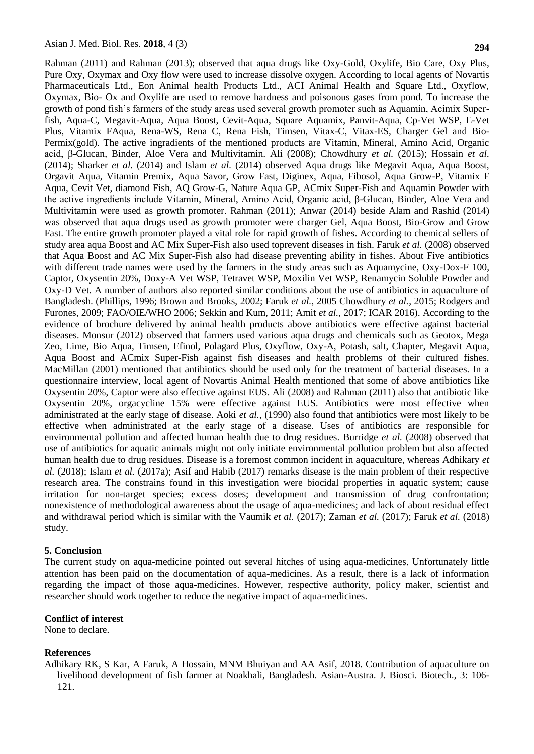Rahman (2011) and Rahman (2013); observed that aqua drugs like Oxy-Gold, Oxylife, Bio Care, Oxy Plus, Pure Oxy, Oxymax and Oxy flow were used to increase dissolve oxygen. According to local agents of Novartis Pharmaceuticals Ltd., Eon Animal health Products Ltd., ACI Animal Health and Square Ltd., Oxyflow, Oxymax, Bio- Ox and Oxylife are used to remove hardness and poisonous gases from pond. To increase the growth of pond fish's farmers of the study areas used several growth promoter such as Aquamin, Acimix Superfish, Aqua-C, Megavit-Aqua, Aqua Boost, Cevit-Aqua, Square Aquamix, Panvit-Aqua, Cp-Vet WSP, E-Vet Plus, Vitamix FAqua, Rena-WS, Rena C, Rena Fish, Timsen, Vitax-C, Vitax-ES, Charger Gel and Bio-Permix(gold). The active ingradients of the mentioned products are Vitamin, Mineral, Amino Acid, Organic acid, β-Glucan, Binder, Aloe Vera and Multivitamin. Ali (2008); Chowdhury *et al.* (2015); Hossain *et al.* (2014); Sharker *et al.* (2014) and Islam *et al.* (2014) observed Aqua drugs like Megavit Aqua, Aqua Boost, Orgavit Aqua, Vitamin Premix, Aqua Savor, Grow Fast, Diginex, Aqua, Fibosol, Aqua Grow-P, Vitamix F Aqua, Cevit Vet, diamond Fish, AQ Grow-G, Nature Aqua GP, ACmix Super-Fish and Aquamin Powder with the active ingredients include Vitamin, Mineral, Amino Acid, Organic acid, β-Glucan, Binder, Aloe Vera and Multivitamin were used as growth promoter. Rahman (2011); Anwar (2014) beside Alam and Rashid (2014) was observed that aqua drugs used as growth promoter were charger Gel, Aqua Boost, Bio-Grow and Grow Fast. The entire growth promoter played a vital role for rapid growth of fishes. According to chemical sellers of study area aqua Boost and AC Mix Super-Fish also used toprevent diseases in fish. Faruk *et al.* (2008) observed that Aqua Boost and AC Mix Super-Fish also had disease preventing ability in fishes. About Five antibiotics with different trade names were used by the farmers in the study areas such as Aquamycine, Oxy-Dox-F 100, Captor, Oxysentin 20%, Doxy-A Vet WSP, Tetravet WSP, Moxilin Vet WSP, Renamycin Soluble Powder and Oxy-D Vet. A number of authors also reported similar conditions about the use of antibiotics in aquaculture of Bangladesh. (Phillips, 1996; Brown and Brooks, 2002; Faruk *et al.*, 2005 Chowdhury *et al.*, 2015; Rodgers and Furones, 2009; FAO/OIE/WHO 2006; Sekkin and Kum, 2011; Amit *et al.*, 2017; ICAR 2016). According to the evidence of brochure delivered by animal health products above antibiotics were effective against bacterial diseases. Monsur (2012) observed that farmers used various aqua drugs and chemicals such as Geotox, Mega Zeo, Lime, Bio Aqua, Timsen, Efinol, Polagard Plus, Oxyflow, Oxy-A, Potash, salt, Chapter, Megavit Aqua, Aqua Boost and ACmix Super-Fish against fish diseases and health problems of their cultured fishes. MacMillan (2001) mentioned that antibiotics should be used only for the treatment of bacterial diseases. In a questionnaire interview, local agent of Novartis Animal Health mentioned that some of above antibiotics like Oxysentin 20%, Captor were also effective against EUS. Ali (2008) and Rahman (2011) also that antibiotic like Oxysentin 20%, orgacycline 15% were effective against EUS. Antibiotics were most effective when administrated at the early stage of disease. Aoki *et al.*, (1990) also found that antibiotics were most likely to be effective when administrated at the early stage of a disease. Uses of antibiotics are responsible for environmental pollution and affected human health due to drug residues. Burridge *et al.* (2008) observed that use of antibiotics for aquatic animals might not only initiate environmental pollution problem but also affected human health due to drug residues. Disease is a foremost common incident in aquaculture, whereas Adhikary *et al.* (2018); Islam *et al.* (2017a); Asif and Habib (2017) remarks disease is the main problem of their respective research area. The constrains found in this investigation were biocidal properties in aquatic system; cause irritation for non-target species; excess doses; development and transmission of drug confrontation; nonexistence of methodological awareness about the usage of aqua-medicines; and lack of about residual effect and withdrawal period which is similar with the Vaumik *et al.* (2017); Zaman *et al.* (2017); Faruk *et al.* (2018) study.

## **5. Conclusion**

The current study on aqua-medicine pointed out several hitches of using aqua-medicines. Unfortunately little attention has been paid on the documentation of aqua-medicines. As a result, there is a lack of information regarding the impact of those aqua-medicines. However, respective authority, policy maker, scientist and researcher should work together to reduce the negative impact of aqua-medicines.

#### **Conflict of interest**

None to declare.

#### **References**

Adhikary RK, S Kar, A Faruk, A Hossain, MNM Bhuiyan and AA Asif, 2018. Contribution of aquaculture on livelihood development of fish farmer at Noakhali, Bangladesh. Asian-Austra. J. Biosci. Biotech., 3: 106- 121.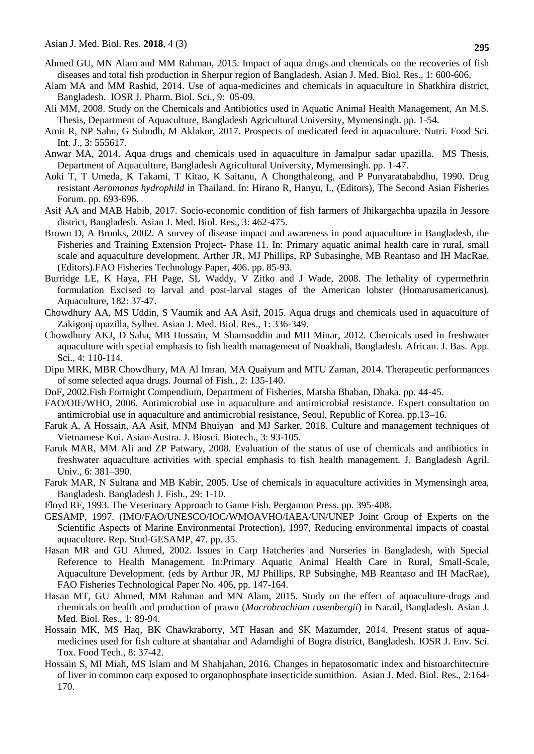- Ahmed GU, MN Alam and MM Rahman, 2015. Impact of aqua drugs and chemicals on the recoveries of fish diseases and total fish production in Sherpur region of Bangladesh. Asian J. Med. Biol. Res., 1: 600-606.
- Alam MA and MM Rashid, 2014. Use of aqua-medicines and chemicals in aquaculture in Shatkhira district, Bangladesh. IOSR J. Pharm. Biol. Sci., 9: 05-09.
- Ali MM, 2008. Study on the Chemicals and Antibiotics used in Aquatic Animal Health Management, An M.S. Thesis, Department of Aquaculture, Bangladesh Agricultural University, Mymensingh. pp. 1-54.
- Amit R, NP Sahu, G Subodh, M Aklakur, 2017. Prospects of medicated feed in aquaculture. Nutri. Food Sci. Int. J., 3: 555617.
- Anwar MA, 2014. Aqua drugs and chemicals used in aquaculture in Jamalpur sadar upazilla. MS Thesis, Department of Aquaculture, Bangladesh Agricultural University, Mymensingh. pp. 1-47.
- Aoki T, T Umeda, K Takami, T Kitao, K Saitanu, A Chongthaleong, and P Punyaratababdhu, 1990. Drug resistant *Aeromonas hydrophild* in Thailand. In: Hirano R, Hanyu, I., (Editors), The Second Asian Fisheries Forum. pp. 693-696.
- Asif AA and MAB Habib, 2017. Socio-economic condition of fish farmers of Jhikargachha upazila in Jessore district, Bangladesh. Asian J. Med. Biol. Res., 3: 462-475.
- Brown D, A Brooks, 2002. A survey of disease impact and awareness in pond aquaculture in Bangladesh, the Fisheries and Training Extension Project- Phase 11. In: Primary aquatic animal health care in rural, small scale and aquaculture development. Arther JR, MJ Phillips, RP Subasinghe, MB Reantaso and IH MacRae, (Editors).FAO Fisheries Technology Paper, 406. pp. 85-93.
- Burridge LE, K Haya, FH Page, SL Waddy, V Zitko and J Wade, 2008. The lethality of cypermethrin formulation Excised to larval and post-larval stages of the American lobster (Homarusamericanus). Aquaculture, 182: 37-47.
- Chowdhury AA, MS Uddin, S Vaumik and AA Asif, 2015. Aqua drugs and chemicals used in aquaculture of Zakigonj upazilla, Sylhet. Asian J. Med. Biol. Res., 1: 336-349.
- Chowdhury AKJ, D Saha, MB Hossain, M Shamsuddin and MH Minar, 2012. Chemicals used in freshwater aquaculture with special emphasis to fish health management of Noakhali, Bangladesh. African. J. Bas. App. Sci., 4: 110-114.
- Dipu MRK, MBR Chowdhury, MA Al Imran, MA Quaiyum and MTU Zaman, 2014. Therapeutic performances of some selected aqua drugs. Journal of Fish., 2: 135-140.
- DoF, 2002.Fish Fortnight Compendium, Department of Fisheries, Matsha Bhaban, Dhaka. pp. 44-45.
- FAO/OIE/WHO, 2006. Antimicrobial use in aquaculture and antimicrobial resistance. Expert consultation on antimicrobial use in aquaculture and antimicrobial resistance, Seoul, Republic of Korea. pp.13–16.
- Faruk A, A Hossain, AA Asif, MNM Bhuiyan and MJ Sarker, 2018. Culture and management techniques of Vietnamese Koi. Asian-Austra. J. Biosci. Biotech., 3: 93-105.
- Faruk MAR, MM Ali and ZP Patwary, 2008. Evaluation of the status of use of chemicals and antibiotics in freshwater aquaculture activities with special emphasis to fish health management. J. Bangladesh Agril. Univ., 6: 381–390.
- Faruk MAR, N Sultana and MB Kabir, 2005. Use of chemicals in aquaculture activities in Mymensingh area, Bangladesh. Bangladesh J. Fish., 29: 1-10.
- Floyd RF, 1993. The Veterinary Approach to Game Fish. Pergamon Press. pp. 395-408.
- GESAMP, 1997. (IMO/FAO/UNESCO/IOC/WMOAVHO/IAEA/UN/UNEP Joint Group of Experts on the Scientific Aspects of Marine Environmental Protection), 1997, Reducing environmental impacts of coastal aquaculture. Rep. Stud-GESAMP, 47. pp. 35.
- Hasan MR and GU Ahmed, 2002. Issues in Carp Hatcheries and Nurseries in Bangladesh, with Special Reference to Health Management. In:Primary Aquatic Animal Health Care in Rural, Small-Scale, Aquaculture Development. (eds by Arthur JR, MJ Phillips, RP Subsinghe, MB Reantaso and IH MacRae), FAO Fisheries Technological Paper No. 406, pp. 147-164.
- Hasan MT, GU Ahmed, MM Rahman and MN Alam, 2015. Study on the effect of aquaculture-drugs and chemicals on health and production of prawn (*Macrobrachium rosenbergii*) in Narail, Bangladesh. Asian J. Med. Biol. Res., 1: 89-94.
- Hossain MK, MS Haq, BK Chawkraborty, MT Hasan and SK Mazumder, 2014. Present status of aquamedicines used for fish culture at shantahar and Adamdighi of Bogra district, Bangladesh. IOSR J. Env. Sci. Tox. Food Tech., 8: 37-42.
- Hossain S, MI Miah, MS Islam and M Shahjahan, 2016. Changes in hepatosomatic index and histoarchitecture of liver in common carp exposed to organophosphate insecticide sumithion. Asian J. Med. Biol. Res., 2:164- 170.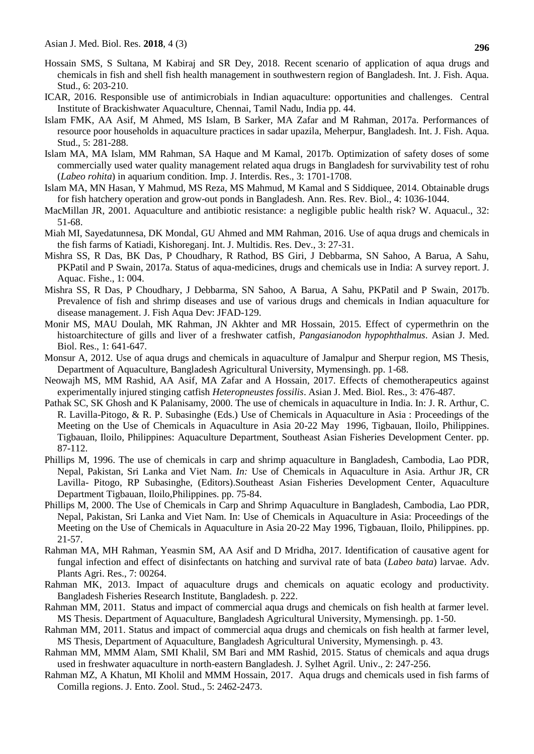- Hossain SMS, S Sultana, M Kabiraj and SR Dey, 2018. Recent scenario of application of aqua drugs and chemicals in fish and shell fish health management in southwestern region of Bangladesh. Int. J. Fish. Aqua. Stud., 6: 203-210.
- ICAR, 2016. Responsible use of antimicrobials in Indian aquaculture: opportunities and challenges. Central Institute of Brackishwater Aquaculture, Chennai, Tamil Nadu, India pp. 44.
- Islam FMK, AA Asif, M Ahmed, MS Islam, B Sarker, MA Zafar and M Rahman, 2017a. Performances of resource poor households in aquaculture practices in sadar upazila, Meherpur, Bangladesh. Int. J. Fish. Aqua. Stud., 5: 281-288.
- Islam MA, MA Islam, MM Rahman, SA Haque and M Kamal, 2017b. Optimization of safety doses of some commercially used water quality management related aqua drugs in Bangladesh for survivability test of rohu (*Labeo rohita*) in aquarium condition. Imp. J. Interdis. Res., 3: 1701-1708.
- Islam MA, MN Hasan, Y Mahmud, MS Reza, MS Mahmud, M Kamal and S Siddiquee, 2014. Obtainable drugs for fish hatchery operation and grow-out ponds in Bangladesh. Ann. Res. Rev. Biol., 4: 1036-1044.
- MacMillan JR, 2001. Aquaculture and antibiotic resistance: a negligible public health risk? W. Aquacul., 32: 51-68.
- Miah MI, Sayedatunnesa, DK Mondal, GU Ahmed and MM Rahman, 2016. Use of aqua drugs and chemicals in the fish farms of Katiadi, Kishoreganj. Int. J. Multidis. Res. Dev., 3: 27-31.
- Mishra SS, R Das, BK Das, P Choudhary, R Rathod, BS Giri, J Debbarma, SN Sahoo, A Barua, A Sahu, PKPatil and P Swain, 2017a. Status of aqua-medicines, drugs and chemicals use in India: A survey report. J. Aquac. Fishe., 1: 004.
- Mishra SS, R Das, P Choudhary, J Debbarma, SN Sahoo, A Barua, A Sahu, PKPatil and P Swain, 2017b. Prevalence of fish and shrimp diseases and use of various drugs and chemicals in Indian aquaculture for disease management. J. Fish Aqua Dev: JFAD-129.
- Monir MS, MAU Doulah, MK Rahman, JN Akhter and MR Hossain, 2015. Effect of cypermethrin on the histoarchitecture of gills and liver of a freshwater catfish*, Pangasianodon hypophthalmus*. Asian J. Med. Biol. Res., 1: 641-647.
- Monsur A, 2012. Use of aqua drugs and chemicals in aquaculture of Jamalpur and Sherpur region, MS Thesis, Department of Aquaculture, Bangladesh Agricultural University, Mymensingh. pp. 1-68.
- Neowajh MS, MM Rashid, AA Asif, MA Zafar and A Hossain, 2017. Effects of chemotherapeutics against experimentally injured stinging catfish *Heteropneustes fossilis*. Asian J. Med. Biol. Res., 3: 476-487.
- Pathak SC, SK Ghosh and K Palanisamy, 2000. The use of chemicals in aquaculture in India. In: J. R. Arthur, C. R. Lavilla-Pitogo, & R. P. Subasinghe (Eds.) Use of Chemicals in Aquaculture in Asia : Proceedings of the Meeting on the Use of Chemicals in Aquaculture in Asia 20-22 May 1996, Tigbauan, Iloilo, Philippines. Tigbauan, Iloilo, Philippines: Aquaculture Department, Southeast Asian Fisheries Development Center. pp. 87-112.
- Phillips M, 1996. The use of chemicals in carp and shrimp aquaculture in Bangladesh, Cambodia, Lao PDR, Nepal, Pakistan, Sri Lanka and Viet Nam. *In:* Use of Chemicals in Aquaculture in Asia. Arthur JR, CR Lavilla- Pitogo, RP Subasinghe, (Editors).Southeast Asian Fisheries Development Center, Aquaculture Department Tigbauan, Iloilo,Philippines. pp. 75-84.
- Phillips M, 2000. The Use of Chemicals in Carp and Shrimp Aquaculture in Bangladesh, Cambodia, Lao PDR, Nepal, Pakistan, Sri Lanka and Viet Nam. In: Use of Chemicals in Aquaculture in Asia: Proceedings of the Meeting on the Use of Chemicals in Aquaculture in Asia 20-22 May 1996, Tigbauan, Iloilo, Philippines. pp. 21-57.
- Rahman MA, MH Rahman, Yeasmin SM, AA Asif and D Mridha, 2017. Identification of causative agent for fungal infection and effect of disinfectants on hatching and survival rate of bata (*Labeo bata*) larvae. Adv. Plants Agri. Res., 7: 00264.
- Rahman MK, 2013. Impact of aquaculture drugs and chemicals on aquatic ecology and productivity. Bangladesh Fisheries Research Institute, Bangladesh. p. 222.
- Rahman MM, 2011. Status and impact of commercial aqua drugs and chemicals on fish health at farmer level. MS Thesis. Department of Aquaculture, Bangladesh Agricultural University, Mymensingh. pp. 1-50.
- Rahman MM, 2011. Status and impact of commercial aqua drugs and chemicals on fish health at farmer level, MS Thesis, Department of Aquaculture, Bangladesh Agricultural University, Mymensingh. p. 43.
- Rahman MM, MMM Alam, SMI Khalil, SM Bari and MM Rashid, 2015. Status of chemicals and aqua drugs used in freshwater aquaculture in north-eastern Bangladesh. J. Sylhet Agril. Univ., 2: 247-256.
- Rahman MZ, A Khatun, MI Kholil and MMM Hossain, 2017. Aqua drugs and chemicals used in fish farms of Comilla regions. J. Ento. Zool. Stud., 5: 2462-2473.